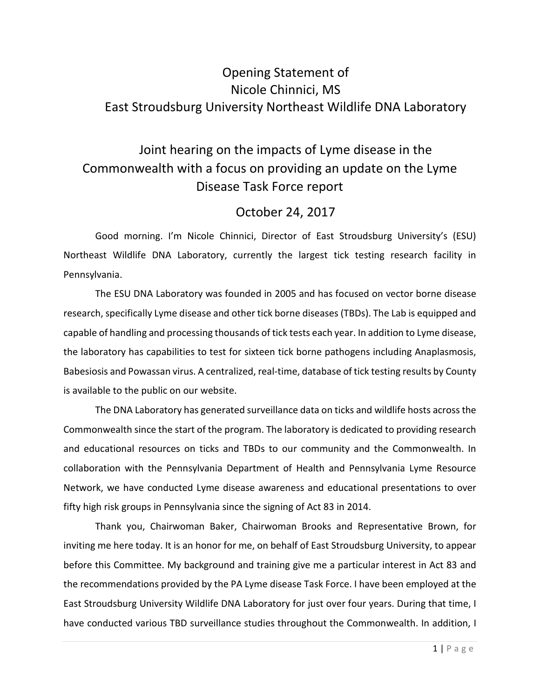## Opening Statement of Nicole Chinnici, MS East Stroudsburg University Northeast Wildlife DNA Laboratory

# Joint hearing on the impacts of Lyme disease in the Commonwealth with a focus on providing an update on the Lyme Disease Task Force report

### October 24, 2017

Good morning. I'm Nicole Chinnici, Director of East Stroudsburg University's (ESU) Northeast Wildlife DNA Laboratory, currently the largest tick testing research facility in Pennsylvania.

The ESU DNA Laboratory was founded in 2005 and has focused on vector borne disease research, specifically Lyme disease and other tick borne diseases (TBDs). The Lab is equipped and capable of handling and processing thousands of tick tests each year. In addition to Lyme disease, the laboratory has capabilities to test for sixteen tick borne pathogens including Anaplasmosis, Babesiosis and Powassan virus. A centralized, real-time, database of tick testing results by County is available to the public on our website.

The DNA Laboratory has generated surveillance data on ticks and wildlife hosts across the Commonwealth since the start of the program. The laboratory is dedicated to providing research and educational resources on ticks and TBDs to our community and the Commonwealth. In collaboration with the Pennsylvania Department of Health and Pennsylvania Lyme Resource Network, we have conducted Lyme disease awareness and educational presentations to over fifty high risk groups in Pennsylvania since the signing of Act 83 in 2014.

Thank you, Chairwoman Baker, Chairwoman Brooks and Representative Brown, for inviting me here today. It is an honor for me, on behalf of East Stroudsburg University, to appear before this Committee. My background and training give me a particular interest in Act 83 and the recommendations provided by the PA Lyme disease Task Force. I have been employed at the East Stroudsburg University Wildlife DNA Laboratory for just over four years. During that time, I have conducted various TBD surveillance studies throughout the Commonwealth. In addition, I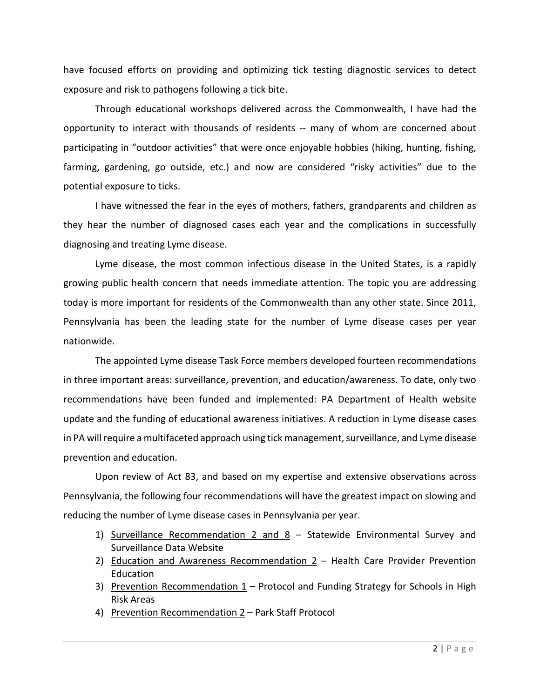have focused efforts on providing and optimizing tick testing diagnostic services to detect exposure and risk to pathogens following a tick bite.

Through educational workshops delivered across the Commonwealth, I have had the opportunity to interact with thousands of residents -- many of whom are concerned about participating in "outdoor activities" that were once enjoyable hobbies (hiking, hunting, fishing, farming, gardening, go outside, etc.) and now are considered "risky activities" due to the potential exposure to ticks.

I have witnessed the fear in the eyes of mothers, fathers, grandparents and children as they hear the number of diagnosed cases each year and the complications in successfully diagnosing and treating Lyme disease.

Lyme disease, the most common infectious disease in the United States, is a rapidly growing public health concern that needs immediate attention. The topic you are addressing today is more important for residents of the Commonwealth than any other state. Since 2011, Pennsylvania has been the leading state for the number of Lyme disease cases per year nationwide.

The appointed Lyme disease Task Force members developed fourteen recommendations in three important areas: surveillance, prevention, and education/awareness. To date, only two recommendations have been funded and implemented: PA Department of Health website update and the funding of educational awareness initiatives. A reduction in Lyme disease cases in PA will require a multifaceted approach using tick management, surveillance, and Lyme disease prevention and education.

Upon review of Act 83, and based on my expertise and extensive observations across Pennsylvania, the following four recommendations will have the greatest impact on slowing and reducing the number of Lyme disease cases in Pennsylvania per year.

- 1) Surveillance Recommendation 2 and 8 Statewide Environmental Survey and Surveillance Data Website
- 2) Education and Awareness Recommendation  $2 -$  Health Care Provider Prevention Education
- 3) Prevention Recommendation  $1$  Protocol and Funding Strategy for Schools in High Risk Areas
- 4) Prevention Recommendation 2 Park Staff Protocol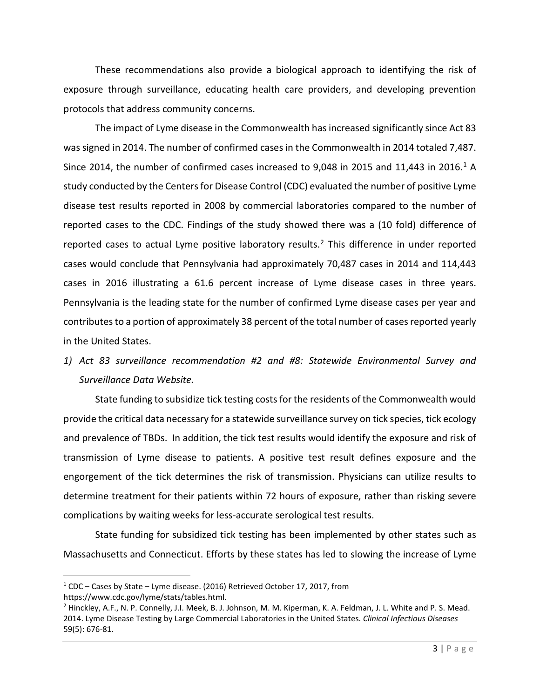These recommendations also provide a biological approach to identifying the risk of exposure through surveillance, educating health care providers, and developing prevention protocols that address community concerns.

The impact of Lyme disease in the Commonwealth hasincreased significantly since Act 83 was signed in 2014. The number of confirmed cases in the Commonwealth in 2014 totaled 7,487. Since 20[1](#page-2-0)4, the number of confirmed cases increased to 9,048 in 2015 and 11,443 in 2016.<sup>1</sup> A study conducted by the Centers for Disease Control (CDC) evaluated the number of positive Lyme disease test results reported in 2008 by commercial laboratories compared to the number of reported cases to the CDC. Findings of the study showed there was a (10 fold) difference of reported cases to actual Lyme positive laboratory results.<sup>[2](#page-2-1)</sup> This difference in under reported cases would conclude that Pennsylvania had approximately 70,487 cases in 2014 and 114,443 cases in 2016 illustrating a 61.6 percent increase of Lyme disease cases in three years. Pennsylvania is the leading state for the number of confirmed Lyme disease cases per year and contributes to a portion of approximately 38 percent of the total number of cases reported yearly in the United States.

*1) Act 83 surveillance recommendation #2 and #8: Statewide Environmental Survey and Surveillance Data Website.*

State funding to subsidize tick testing costs for the residents of the Commonwealth would provide the critical data necessary for a statewide surveillance survey on tick species, tick ecology and prevalence of TBDs. In addition, the tick test results would identify the exposure and risk of transmission of Lyme disease to patients. A positive test result defines exposure and the engorgement of the tick determines the risk of transmission. Physicians can utilize results to determine treatment for their patients within 72 hours of exposure, rather than risking severe complications by waiting weeks for less-accurate serological test results.

State funding for subsidized tick testing has been implemented by other states such as Massachusetts and Connecticut. Efforts by these states has led to slowing the increase of Lyme

<span id="page-2-0"></span> <sup>1</sup> CDC – Cases by State – Lyme disease. (2016) Retrieved October 17, 2017, from

<span id="page-2-1"></span>https://www.cdc.gov/lyme/stats/tables.html.<br><sup>2</sup> Hinckley, A.F., N. P. Connelly, J.I. Meek, B. J. Johnson, M. M. Kiperman, K. A. Feldman, J. L. White and P. S. Mead. 2014. Lyme Disease Testing by Large Commercial Laboratories in the United States. *Clinical Infectious Diseases*  59(5): 676-81.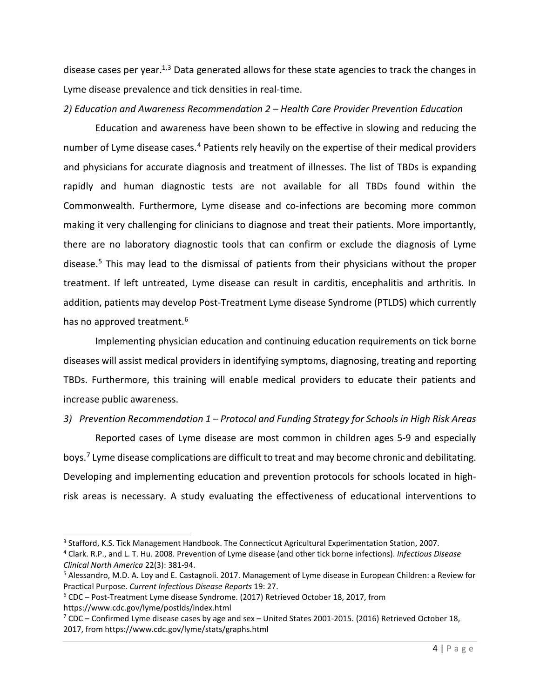disease cases per year.<sup>1,[3](#page-3-0)</sup> Data generated allows for these state agencies to track the changes in Lyme disease prevalence and tick densities in real-time.

#### *2) Education and Awareness Recommendation 2 – Health Care Provider Prevention Education*

Education and awareness have been shown to be effective in slowing and reducing the number of Lyme disease cases.<sup>[4](#page-3-1)</sup> Patients rely heavily on the expertise of their medical providers and physicians for accurate diagnosis and treatment of illnesses. The list of TBDs is expanding rapidly and human diagnostic tests are not available for all TBDs found within the Commonwealth. Furthermore, Lyme disease and co-infections are becoming more common making it very challenging for clinicians to diagnose and treat their patients. More importantly, there are no laboratory diagnostic tools that can confirm or exclude the diagnosis of Lyme disease. [5](#page-3-2) This may lead to the dismissal of patients from their physicians without the proper treatment. If left untreated, Lyme disease can result in carditis, encephalitis and arthritis. In addition, patients may develop Post-Treatment Lyme disease Syndrome (PTLDS) which currently has no approved treatment.<sup>6</sup>

Implementing physician education and continuing education requirements on tick borne diseases will assist medical providers in identifying symptoms, diagnosing, treating and reporting TBDs. Furthermore, this training will enable medical providers to educate their patients and increase public awareness.

#### *3) Prevention Recommendation 1 – Protocol and Funding Strategy for Schools in High Risk Areas*

Reported cases of Lyme disease are most common in children ages 5-9 and especially boys.[7](#page-3-4) Lyme disease complications are difficult to treat and may become chronic and debilitating. Developing and implementing education and prevention protocols for schools located in highrisk areas is necessary. A study evaluating the effectiveness of educational interventions to

https://www.cdc.gov/lyme/postlds/index.html

<span id="page-3-0"></span><sup>&</sup>lt;sup>3</sup> Stafford, K.S. Tick Management Handbook. The Connecticut Agricultural Experimentation Station, 2007.

<span id="page-3-1"></span><sup>4</sup> Clark. R.P., and L. T. Hu. 2008. Prevention of Lyme disease (and other tick borne infections). *Infectious Disease Clinical North America* 22(3): 381-94.

<span id="page-3-2"></span><sup>5</sup> Alessandro, M.D. A. Loy and E. Castagnoli. 2017. Management of Lyme disease in European Children: a Review for Practical Purpose. *Current Infectious Disease Reports* 19: 27.

<span id="page-3-3"></span><sup>6</sup> CDC – Post-Treatment Lyme disease Syndrome. (2017) Retrieved October 18, 2017, from

<span id="page-3-4"></span> $7$  CDC – Confirmed Lyme disease cases by age and sex – United States 2001-2015. (2016) Retrieved October 18, 2017, from https://www.cdc.gov/lyme/stats/graphs.html